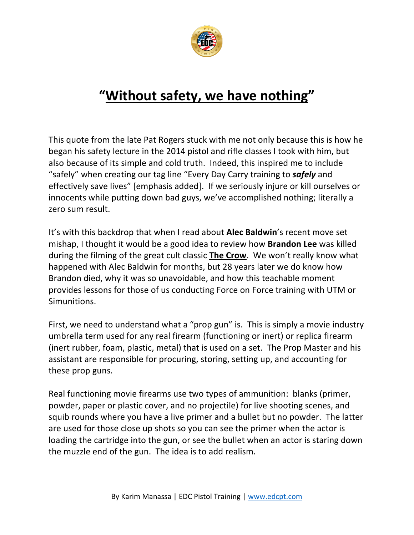

## **"Without safety, we have nothing"**

This quote from the late Pat Rogers stuck with me not only because this is how he began his safety lecture in the 2014 pistol and rifle classes I took with him, but also because of its simple and cold truth. Indeed, this inspired me to include "safely" when creating our tag line "Every Day Carry training to *safely* and effectively save lives" [emphasis added]. If we seriously injure or kill ourselves or innocents while putting down bad guys, we've accomplished nothing; literally a zero sum result.

It's with this backdrop that when I read about **Alec Baldwin**'s recent move set mishap, I thought it would be a good idea to review how **Brandon Lee** was killed during the filming of the great cult classic **The Crow**. We won't really know what happened with Alec Baldwin for months, but 28 years later we do know how Brandon died, why it was so unavoidable, and how this teachable moment provides lessons for those of us conducting Force on Force training with UTM or Simunitions.

First, we need to understand what a "prop gun" is. This is simply a movie industry umbrella term used for any real firearm (functioning or inert) or replica firearm (inert rubber, foam, plastic, metal) that is used on a set. The Prop Master and his assistant are responsible for procuring, storing, setting up, and accounting for these prop guns.

Real functioning movie firearms use two types of ammunition: blanks (primer, powder, paper or plastic cover, and no projectile) for live shooting scenes, and squib rounds where you have a live primer and a bullet but no powder. The latter are used for those close up shots so you can see the primer when the actor is loading the cartridge into the gun, or see the bullet when an actor is staring down the muzzle end of the gun. The idea is to add realism.